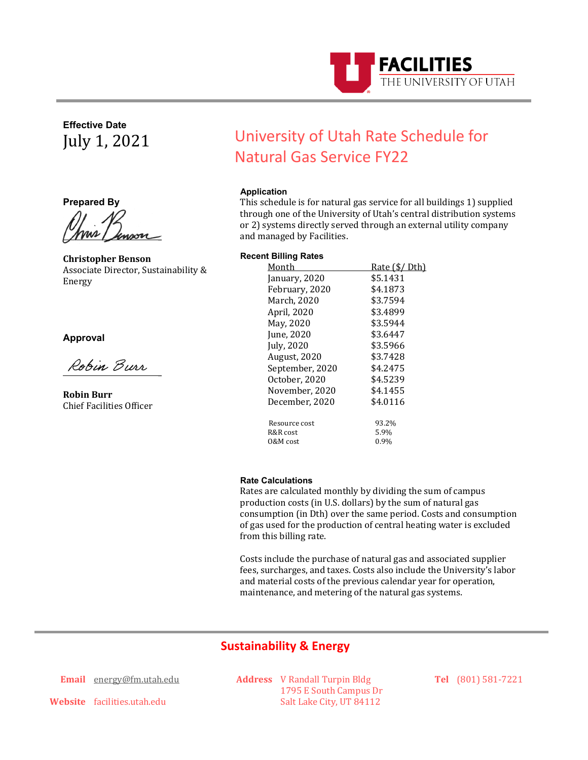

## **Effective Date** July 1, 2021

**Prepared By**

<u>when I under</u>

**Christopher Benson** Associate Director, Sustainability & Energy

#### **Approval**

Robin Burr

**Robin Burr** Chief Facilities Officer

# University of Utah Rate Schedule for Natural Gas Service FY22

#### **Application**

This schedule is for natural gas service for all buildings 1) supplied through one of the University of Utah's central distribution systems or 2) systems directly served through an external utility company and managed by Facilities.

| <b>Recent Billing Rates</b> |                       |
|-----------------------------|-----------------------|
| Month                       | <u>Rate (\$/ Dth)</u> |
| January, 2020               | \$5.1431              |
| February, 2020              | \$4.1873              |
| March, 2020                 | \$3.7594              |
| April, 2020                 | \$3.4899              |
| May, 2020                   | \$3.5944              |
| June, 2020                  | \$3.6447              |
| July, 2020                  | \$3.5966              |
| <b>August, 2020</b>         | \$3.7428              |
| September, 2020             | \$4.2475              |
| October, 2020               | \$4.5239              |
| November, 2020              | \$4.1455              |
| December, 2020              | \$4.0116              |
| Resource cost               | 93.2%                 |
| R&R cost                    | 5.9%                  |
| 0&M cost                    | $0.9\%$               |

#### **Rate Calculations**

Rates are calculated monthly by dividing the sum of campus production costs (in U.S. dollars) by the sum of natural gas consumption (in Dth) over the same period. Costs and consumption of gas used for the production of central heating water is excluded from this billing rate.

Costs include the purchase of natural gas and associated supplier fees, surcharges, and taxes. Costs also include the University's labor and material costs of the previous calendar year for operation, maintenance, and metering of the natural gas systems.

### **Sustainability & Energy**

**Email** [energy@fm.utah.edu](mailto:energy@fm.utah.edu)

**Address** V Randall Turpin Bldg 1795 E South Campus Dr Salt Lake City, UT 84112

**Tel** (801) 581-7221

**Website** facilities.utah.edu